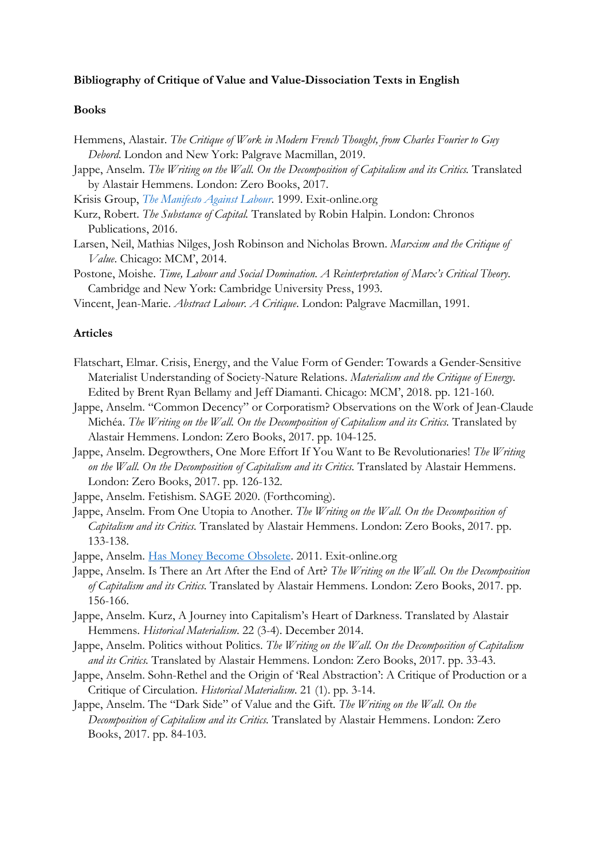## **Bibliography of Critique of Value and Value-Dissociation Texts in English**

## **Books**

- Hemmens, Alastair. *The Critique of Work in Modern French Thought, from Charles Fourier to Guy Debord*. London and New York: Palgrave Macmillan, 2019.
- Jappe, Anselm. *The Writing on the Wall. On the Decomposition of Capitalism and its Critics.* Translated by Alastair Hemmens. London: Zero Books, 2017.
- Krisis Group, *[The Manifesto Against Labour](https://www.exit-online.org/textanz1.php?tabelle=transnationales&index=3&posnr=7&backtext1=text1.php)*. 1999. Exit-online.org
- Kurz, Robert. *The Substance of Capital.* Translated by Robin Halpin. London: Chronos Publications, 2016.
- Larsen, Neil, Mathias Nilges, Josh Robinson and Nicholas Brown. *Marxism and the Critique of Value*. Chicago: MCM', 2014.
- Postone, Moishe. *Time, Labour and Social Domination. A Reinterpretation of Marx's Critical Theory*. Cambridge and New York: Cambridge University Press, 1993.
- Vincent, Jean-Marie. *Abstract Labour. A Critique*. London: Palgrave Macmillan, 1991.

## **Articles**

- Flatschart, Elmar. Crisis, Energy, and the Value Form of Gender: Towards a Gender-Sensitive Materialist Understanding of Society-Nature Relations. *Materialism and the Critique of Energy*. Edited by Brent Ryan Bellamy and Jeff Diamanti. Chicago: MCM', 2018. pp. 121-160.
- Jappe, Anselm. "Common Decency" or Corporatism? Observations on the Work of Jean-Claude Michéa. *The Writing on the Wall. On the Decomposition of Capitalism and its Critics.* Translated by Alastair Hemmens. London: Zero Books, 2017. pp. 104-125.
- Jappe, Anselm. Degrowthers, One More Effort If You Want to Be Revolutionaries! *The Writing on the Wall. On the Decomposition of Capitalism and its Critics.* Translated by Alastair Hemmens. London: Zero Books, 2017. pp. 126-132.
- Jappe, Anselm. Fetishism. SAGE 2020. (Forthcoming).
- Jappe, Anselm. From One Utopia to Another. *The Writing on the Wall. On the Decomposition of Capitalism and its Critics.* Translated by Alastair Hemmens. London: Zero Books, 2017. pp. 133-138.
- Jappe, Anselm. [Has Money Become Obsolete.](https://www.exit-online.org/textanz1.php?tabelle=transnationales&index=3&posnr=184&backtext1=text1.php) 2011. Exit-online.org
- Jappe, Anselm. Is There an Art After the End of Art? *The Writing on the Wall. On the Decomposition of Capitalism and its Critics.* Translated by Alastair Hemmens. London: Zero Books, 2017. pp. 156-166.
- Jappe, Anselm. Kurz, A Journey into Capitalism's Heart of Darkness. Translated by Alastair Hemmens. *Historical Materialism*. 22 (3-4). December 2014.
- Jappe, Anselm. Politics without Politics. *The Writing on the Wall. On the Decomposition of Capitalism and its Critics.* Translated by Alastair Hemmens. London: Zero Books, 2017. pp. 33-43.
- Jappe, Anselm. Sohn-Rethel and the Origin of 'Real Abstraction': A Critique of Production or a Critique of Circulation. *Historical Materialism*. 21 (1). pp. 3-14.
- Jappe, Anselm. The "Dark Side" of Value and the Gift. *The Writing on the Wall. On the Decomposition of Capitalism and its Critics.* Translated by Alastair Hemmens. London: Zero Books, 2017. pp. 84-103.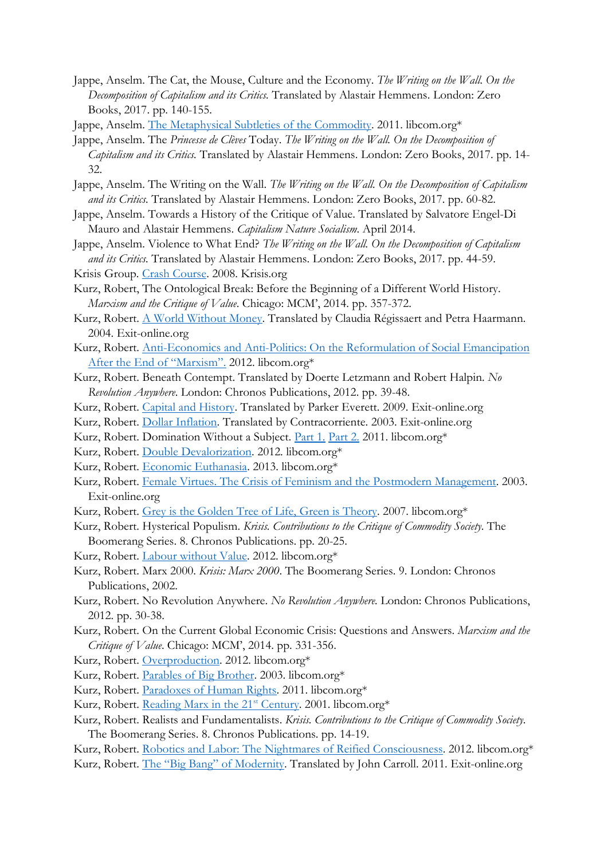- Jappe, Anselm. The Cat, the Mouse, Culture and the Economy. *The Writing on the Wall. On the Decomposition of Capitalism and its Critics.* Translated by Alastair Hemmens. London: Zero Books, 2017. pp. 140-155.
- Jappe, Anselm. [The Metaphysical Subtleties of the Commodity.](https://libcom.org/library/metaphysical-subtleties-commodity-anselm-jappe) 2011. libcom.org\*
- Jappe, Anselm. The *Princesse de Clèves* Today. *The Writing on the Wall. On the Decomposition of Capitalism and its Critics.* Translated by Alastair Hemmens. London: Zero Books, 2017. pp. 14- 32.
- Jappe, Anselm. The Writing on the Wall. *The Writing on the Wall. On the Decomposition of Capitalism and its Critics.* Translated by Alastair Hemmens. London: Zero Books, 2017. pp. 60-82.
- Jappe, Anselm. Towards a History of the Critique of Value. Translated by Salvatore Engel-Di Mauro and Alastair Hemmens. *Capitalism Nature Socialism*. April 2014.
- Jappe, Anselm. Violence to What End? *The Writing on the Wall. On the Decomposition of Capitalism and its Critics.* Translated by Alastair Hemmens. London: Zero Books, 2017. pp. 44-59.
- Krisis Group. [Crash Course.](http://www.krisis.org/2008/crash-course/) 2008. Krisis.org
- Kurz, Robert, The Ontological Break: Before the Beginning of a Different World History. *Marxism and the Critique of Value*. Chicago: MCM', 2014. pp. 357-372.
- Kurz, Robert. [A World Without Money.](https://www.exit-online.org/textanz1.php?tabelle=transnationales&index=3&posnr=87&backtext1=text1.php) Translated by Claudia Régissaert and Petra Haarmann. 2004. Exit-online.org
- Kurz, Robert. Anti-Economics and Anti-Politics: On the Reformulation of Social Emancipation [After the End of](https://libcom.org/library/anti-economics-anti-politics-reformulation-social-emancipation-after-end-marxism-robert-) "Marxism". 2012. libcom.org\*
- Kurz, Robert. Beneath Contempt. Translated by Doerte Letzmann and Robert Halpin. *No Revolution Anywhere*. London: Chronos Publications, 2012. pp. 39-48.
- Kurz, Robert. [Capital and History.](https://www.exit-online.org/textanz1.php?tabelle=transnationales&index=3&posnr=158&backtext1=text1.php) Translated by Parker Everett. 2009. Exit-online.org
- Kurz, Robert. [Dollar Inflation.](https://www.exit-online.org/textanz1.php?tabelle=transnationales&index=3&posnr=76&backtext1=text1.php) Translated by Contracorriente. 2003. Exit-online.org
- Kurz, Robert. Domination Without a Subject. [Part 1.](https://libcom.org/library/domination-without-subject-part-one-robert-kurz) [Part 2.](https://libcom.org/library/domination-without-subject-part-two-robert-kurz) 2011. libcom.org\*
- Kurz, Robert. [Double Devalorization.](https://libcom.org/library/double-devalorization-robert-kurz) 2012. libcom.org\*
- Kurz, Robert. [Economic Euthanasia.](https://libcom.org/library/economic-euthanasia-robert-kurz) 2013. libcom.org\*
- Kurz, Robert. [Female Virtues. The Crisis of Feminism and the Postmodern Management.](https://www.exit-online.org/textanz1.php?tabelle=transnationales&index=3&posnr=71&backtext1=text1.php) 2003. Exit-online.org
- Kurz, Robert. [Grey is the Golden Tree of Life, Green is Theory.](https://libcom.org/library/grey-golden-tree-life-green-theory-robert-kurz) 2007. libcom.org\*
- Kurz, Robert. Hysterical Populism. *Krisis. Contributions to the Critique of Commodity Society*. The Boomerang Series. 8. Chronos Publications. pp. 20-25.
- Kurz, Robert. [Labour without Value.](https://libcom.org/library/labor-without-value-robert-kurz) 2012. libcom.org\*
- Kurz, Robert. Marx 2000. *Krisis: Marx 2000*. The Boomerang Series. 9. London: Chronos Publications, 2002.
- Kurz, Robert. No Revolution Anywhere. *No Revolution Anywhere.* London: Chronos Publications, 2012. pp. 30-38.
- Kurz, Robert. On the Current Global Economic Crisis: Questions and Answers. *Marxism and the Critique of Value*. Chicago: MCM', 2014. pp. 331-356.
- Kurz, Robert. [Overproduction.](https://libcom.org/library/overproduction-robert-kurz) 2012. libcom.org\*
- Kurz, Robert. [Parables of Big Brother.](https://libcom.org/library/parables-big-brother-robert-kurz) 2003. libcom.org\*
- Kurz, Robert. [Paradoxes of Human](https://libcom.org/library/paradoxes-human-rights-robert-kurz) Rights. 2011. libcom.org\*
- Kurz, Robert. [Reading Marx in the 21](https://libcom.org/library/reading-marx-21st-century-robert-kurz)<sup>st</sup> Century. 2001. libcom.org\*
- Kurz, Robert. Realists and Fundamentalists. *Krisis. Contributions to the Critique of Commodity Society*. The Boomerang Series. 8. Chronos Publications. pp. 14-19.
- Kurz, Robert. Robotics and Labor: [The Nightmares of Reified Consciousness.](https://libcom.org/library/robotics-labor-nightmares-reified-consciousness-robert-kurz) 2012. libcom.org\* Kurz, Robert. The "Big Bang" of [Modernity.](https://www.exit-online.org/textanz1.php?tabelle=transnationales&index=3&posnr=167&backtext1=text1.php) Translated by John Carroll. 2011. Exit-online.org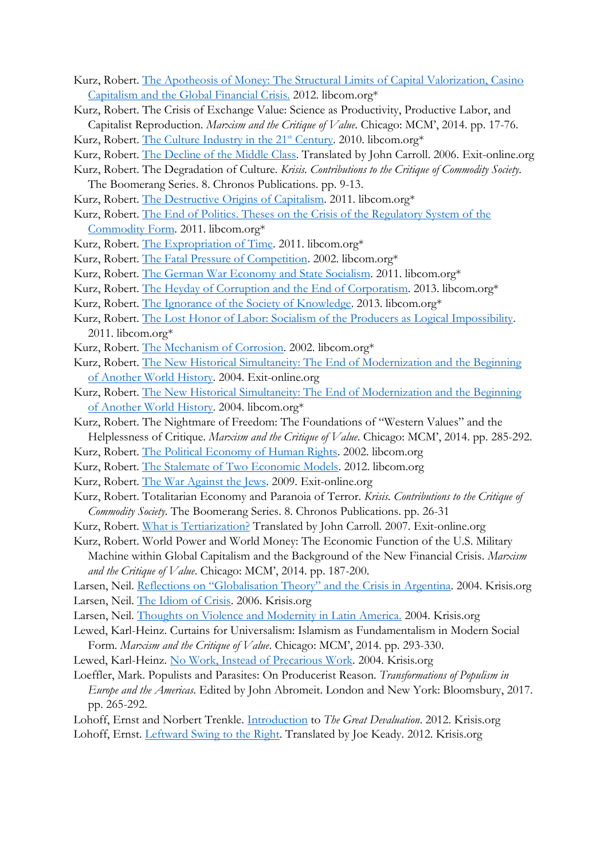- Kurz, Robert. [The Apotheosis of Money: The Structural Limits of Capital Valorization, Casino](https://libcom.org/library/apotheosis-money-structural-limits-capital-valorization-casino-capitalism-global-financi)  [Capitalism and the Global Financial Crisis.](https://libcom.org/library/apotheosis-money-structural-limits-capital-valorization-casino-capitalism-global-financi) 2012. libcom.org\*
- Kurz, Robert. The Crisis of Exchange Value: Science as Productivity, Productive Labor, and Capitalist Reproduction. *Marxism and the Critique of Value*. Chicago: MCM', 2014. pp. 17-76.
- Kurz, Robert. [The Culture Industry in the 21](https://libcom.org/library/culture-industry-21st-century-robert-kurz)<sup>st</sup> Century. 2010. libcom.org\*
- Kurz, Robert. [The Decline of the Middle Class.](https://www.exit-online.org/textanz1.php?tabelle=transnationales&index=3&posnr=123&backtext1=text1.php) Translated by John Carroll. 2006. Exit-online.org
- Kurz, Robert. The Degradation of Culture. *Krisis. Contributions to the Critique of Commodity Society*.
	- The Boomerang Series. 8. Chronos Publications. pp. 9-13.
- Kurz, Robert. [The Destructive Origins](https://libcom.org/history/destructive-origins-capitalism-robert-kurz) of Capitalism. 2011. libcom.org\*
- Kurz, Robert. [The End of Politics. Theses on the Crisis of the Regulatory System of the](https://libcom.org/library/end-politics-theses-crisis-regulatory-system-commodity-form-robert-kurz)  [Commodity Form.](https://libcom.org/library/end-politics-theses-crisis-regulatory-system-commodity-form-robert-kurz) 2011. libcom.org\*
- Kurz, Robert. [The Expropriation of Time.](https://libcom.org/history/expropriation-time-robert-kurz) 2011. libcom.org\*
- Kurz, Robert. [The Fatal Pressure of Competition.](https://libcom.org/library/fatal-pressure-competition-robert-kurz) 2002. libcom.org\*
- Kurz, Robert. [The German War Economy and State Socialism.](https://libcom.org/library/german-war-economy-state-socialism-robert-kurz) 2011. libcom.org\*
- Kurz, Robert. [The Heyday of Corruption and the End of Corporatism.](https://libcom.org/library/heday-corruption-end-corporatism-robert-kurz) 2013. libcom.org\*
- Kurz, Robert. [The Ignorance of the Society of Knowledge.](https://libcom.org/library/ignorance-society-knowledge-robert-kurz) 2013. libcom.org\*
- Kurz, Robert. [The Lost Honor of Labor: Socialism of the Producers as Logical Impossibility.](https://libcom.org/library/lost-honor-labor-robert-kurz) 2011. libcom.org\*
- Kurz, Robert. [The Mechanism of Corrosion.](https://libcom.org/library/mechanism-corrosion-robert-kurz) 2002. libcom.org\*
- Kurz, Robert. [The New Historical Simultaneity: The End of Modernization and the Beginning](https://www.exit-online.org/textanz1.php?tabelle=transnationales&index=3&posnr=36&backtext1=text1.php)  [of Another World History.](https://www.exit-online.org/textanz1.php?tabelle=transnationales&index=3&posnr=36&backtext1=text1.php) 2004. Exit-online.org
- Kurz, Robert. [The New Historical Simultaneity: The End of Modernization and the Beginning](https://libcom.org/library/new-historical-simultaneity-robert-kurz)  [of Another World History.](https://libcom.org/library/new-historical-simultaneity-robert-kurz) 2004. libcom.org\*
- Kurz, Robert. The Nightmare of Freedom: The Foundations of "Western Values" and the Helplessness of Critique. *Marxism and the Critique of Value*. Chicago: MCM', 2014. pp. 285-292.
- Kurz, Robert. [The Political Economy of Human Rights.](https://libcom.org/library/political-economy-human-rights-robert-kurz) 2002. libcom.org
- Kurz, Robert. [The Stalemate of Two Economic Models.](https://libcom.org/library/stalemate-two-economic-models-robert-kurz) 2012. libcom.org
- Kurz, Robert. [The War Against the Jews.](https://www.exit-online.org/textanz1.php?tabelle=transnationales&index=3&posnr=150&backtext1=text1.php) 2009. Exit-online.org
- Kurz, Robert. Totalitarian Economy and Paranoia of Terror. *Krisis. Contributions to the Critique of Commodity Society*. The Boomerang Series. 8. Chronos Publications. pp. 26-31
- Kurz, Robert. [What is Tertiarization?](https://www.exit-online.org/textanz1.php?tabelle=transnationales&index=3&posnr=135&backtext1=text1.php) Translated by John Carroll. 2007. Exit-online.org
- Kurz, Robert. World Power and World Money: The Economic Function of the U.S. Military Machine within Global Capitalism and the Background of the New Financial Crisis. *Marxism and the Critique of Value*. Chicago: MCM', 2014. pp. 187-200.

Larsen, Neil. Reflections on "Globalisation Theory" and the [Crisis in Argentina.](http://www.krisis.org/2004/theory-risk-reflections-on-globalization-theory-and-the-crisis-in-argentina/) 2004. Krisis.org

- Larsen, Neil. [The Idiom of Crisis.](http://www.krisis.org/2006/the-idiom-of-crisis/) 2006. Krisis.org
- Larsen, Neil. [Thoughts on Violence and Modernity in Latin America.](http://www.krisis.org/2004/thoughts-on-violence-and-modernity/) 2004. Krisis.org
- Lewed, Karl-Heinz. Curtains for Universalism: Islamism as Fundamentalism in Modern Social Form. *Marxism and the Critique of Value*. Chicago: MCM', 2014. pp. 293-330.
- Lewed, Karl-Heinz. No Work, Instead [of Precarious Work.](http://www.krisis.org/2004/no-work-instead-of-precarious-work/) 2004. Krisis.org
- Loeffler, Mark. Populists and Parasites: On Producerist Reason*. Transformations of Populism in Europe and the Americas*. Edited by John Abromeit. London and New York: Bloomsbury, 2017. pp. 265-292.
- Lohoff, Ernst and Norbert Trenkle. [Introduction](http://www.krisis.org/2012/the-great-devaluation-introduction/) to *The Great Devaluation*. 2012. Krisis.org Lohoff, Ernst. [Leftward Swing to the Right.](http://www.krisis.org/2012/leftward-swing-to-the-right/) Translated by Joe Keady. 2012. Krisis.org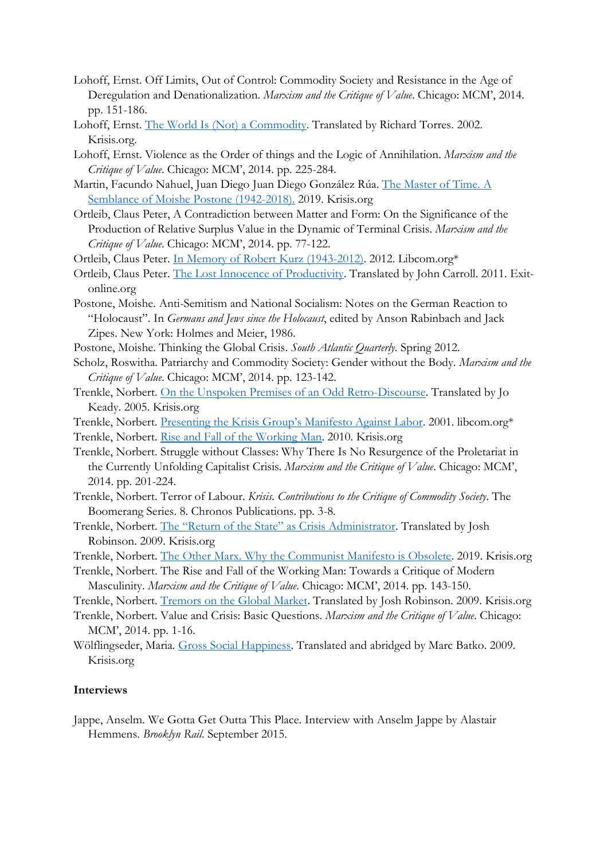- Lohoff, Ernst. Off Limits, Out of Control: Commodity Society and Resistance in the Age of Deregulation and Denationalization. *Marxism and the Critique of Value*. Chicago: MCM', 2014. pp. 151-186.
- Lohoff, Ernst. [The World Is \(Not\) a Commodity.](http://www.krisis.org/2002/the-world-is-not-a-commodity/) Translated by Richard Torres. 2002. Krisis.org.
- Lohoff, Ernst. Violence as the Order of things and the Logic of Annihilation. *Marxism and the Critique of Value*. Chicago: MCM', 2014. pp. 225-284.
- Martin, Facundo Nahuel, Juan Diego Juan Diego González Rúa. [The Master of Time. A](http://www.krisis.org/2019/the-master-of-time/)  [Semblance of Moishe Postone \(1942-2018\).](http://www.krisis.org/2019/the-master-of-time/) 2019. Krisis.org
- Ortleib, Claus Peter, A Contradiction between Matter and Form: On the Significance of the Production of Relative Surplus Value in the Dynamic of Terminal Crisis. *Marxism and the Critique of Value*. Chicago: MCM', 2014. pp. 77-122.

Ortleib, Claus Peter. [In Memory of Robert Kurz \(1943-2012\).](https://libcom.org/library/memory-robert-kurz-1943-2012-claus-peter-ortlieb) 2012. Libcom.org\*

- Ortleib, Claus Peter. [The Lost Innocence of Productivity.](https://www.exit-online.org/textanz1.php?tabelle=transnationales&index=3&posnr=168&backtext1=text1.php) Translated by John Carroll. 2011. Exitonline.org
- Postone, Moishe. Anti-Semitism and National Socialism: Notes on the German Reaction to "Holocaust". In *Germans and Jews since the Holocaust*, edited by Anson Rabinbach and Jack Zipes. New York: Holmes and Meier, 1986.
- Postone, Moishe. Thinking the Global Crisis. *South Atlantic Quarterly*. Spring 2012.
- Scholz, Roswitha. Patriarchy and Commodity Society: Gender without the Body. *Marxism and the Critique of Value*. Chicago: MCM', 2014. pp. 123-142.
- Trenkle, Norbert. [On the Unspoken Premises of an Odd Retro-Discourse.](http://www.krisis.org/2005/the-metaphysical-subtleties-of-class-struggle/) Translated by Jo Keady. 2005. Krisis.org

Trenkle, Norbert. [Presenting the Krisis Group](https://libcom.org/library/presenting-krisis-groups-manifesto-against-labor-norbert-trenkle)'s Manifesto Against Labor. 2001. libcom.org\*

Trenkle, Norbert. [Rise and Fall of the Working Man.](http://www.krisis.org/2010/rise-and-fall-of-the-working-man/) 2010. Krisis.org

- Trenkle, Norbert. Struggle without Classes: Why There Is No Resurgence of the Proletariat in the Currently Unfolding Capitalist Crisis. *Marxism and the Critique of Value*. Chicago: MCM', 2014. pp. 201-224.
- Trenkle, Norbert. Terror of Labour. *Krisis. Contributions to the Critique of Commodity Society*. The Boomerang Series. 8. Chronos Publications. pp. 3-8.
- Trenkle, Norbert. The "Return of the State[" as Crisis Administrator](http://www.krisis.org/2009/the-return-of-the-state-as-crisis-administrator/). Translated by Josh Robinson. 2009. Krisis.org
- Trenkle, Norbert. [The Other Marx. Why the Communist Manifesto is Obsolete.](http://www.krisis.org/2019/the-other-marx-why-the-communist-manifesto-is-obsolete/) 2019. Krisis.org
- Trenkle, Norbert. The Rise and Fall of the Working Man: Towards a Critique of Modern Masculinity. *Marxism and the Critique of Value*. Chicago: MCM', 2014. pp. 143-150.

Trenkle, Norbert. [Tremors on the Global Market.](http://www.krisis.org/2009/tremors-on-the-global-market/) Translated by Josh Robinson. 2009. Krisis.org

- Trenkle, Norbert. Value and Crisis: Basic Questions. *Marxism and the Critique of Value*. Chicago: MCM', 2014. pp. 1-16.
- Wölflingseder, Maria. [Gross Social Happiness.](http://www.krisis.org/2009/gross-social-happiness/) Translated and abridged by Marc Batko. 2009. Krisis.org

## **Interviews**

Jappe, Anselm. We Gotta Get Outta This Place. Interview with Anselm Jappe by Alastair Hemmens. *Brooklyn Rail*. September 2015.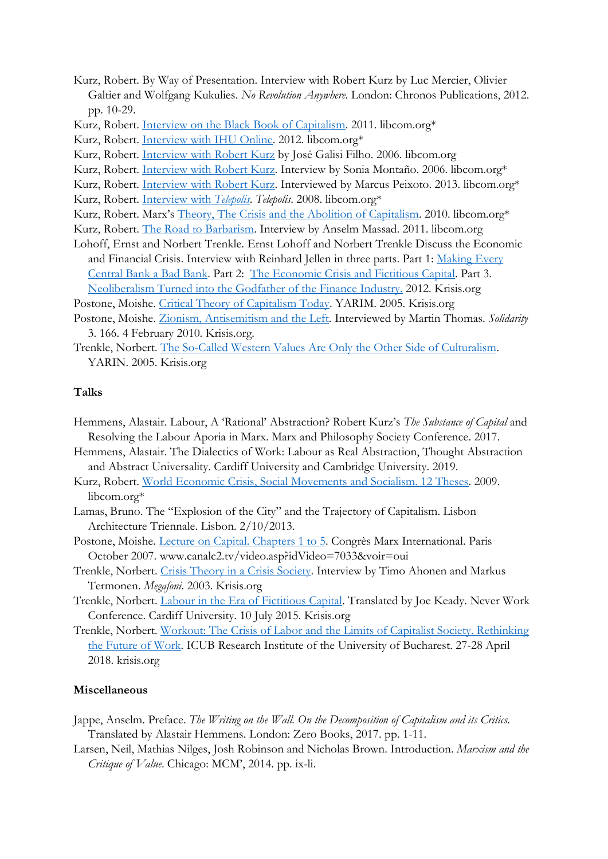- Kurz, Robert. By Way of Presentation. Interview with Robert Kurz by Luc Mercier, Olivier Galtier and Wolfgang Kukulies. *No Revolution Anywhere.* London: Chronos Publications, 2012. pp. 10-29.
- Kurz, Robert. [Interview on the Black Book of Capitalism.](https://libcom.org/library/interview-black-book-capitalism-robert-kurz) 2011. libcom.org\*
- Kurz, Robert. [Interview with IHU Online.](https://libcom.org/library/2009-interview-ihu-online-robert-kurz) 2012. libcom.org\*
- Kurz, Robert. Interview [with Robert Kurz](https://libcom.org/library/2006-interview-robert-kurz-jos%C3%A9-galisi-filho) by José Galisi Filho. 2006. libcom.org
- Kurz, Robert. *Interview with Robert Kurz*. Interview by Sonia Montaño. 2006. libcom.org\*
- Kurz, Robert. [Interview with Robert Kurz.](https://libcom.org/library/interview-robert-kurz-marcus-peixoto) Interviewed by Marcus Peixoto. 2013. libcom.org\*
- Kurz, Robert. [Interview with](https://libcom.org/library/2008-interview-online-magazine-telepolis-%E2%80%93-robert-kurz) *Telepolis*. *Telepolis*. 2008. libcom.org\*
- Kurz, Robert. Marx's [Theory, The Crisis and the Abolition of Capitalism.](https://libcom.org/library/marxs-theory-crisis-abolition-capitalism-robert-kurz) 2010. libcom.org\*
- Kurz, Robert. [The Road to Barbarism.](https://libcom.org/library/road-barbarism-interview-robert-kurz-anselmo-massad) Interview by Anselm Massad. 2011. libcom.org
- Lohoff, Ernst and Norbert Trenkle. Ernst Lohoff and Norbert Trenkle Discuss the Economic and Financial Crisis. Interview with Reinhard Jellen in three parts. Part 1: Making Every [Central Bank a Bad Bank.](http://www.krisis.org/2012/making-every-central-bank-a-bad-bank-ernst-lohoff-and-norbert-trenkle-discuss-the-economic-and-financial-crisis-part-1-of-3/) Part 2: [The Economic Crisis and Fictitious Capital.](http://www.krisis.org/2012/the-economic-crisis-and-fictitious-capital-ernst-lohoff-and-norbert-trenkle-discuss-the-economic-and-financial-crisis-part-2-of-3/) Part 3. [Neoliberalism Turned into the Godfather of the Finance Industry.](http://www.krisis.org/2012/neoliberalism-turned-into-the-godfather-of-the-finance-industry-ernst-lohoff-and-norbert-trenkle-discuss-the-economic-and-financial-crisis-part-3-of-3/) 2012. Krisis.org
- Postone, Moishe. [Critical Theory of Capitalism Today.](http://www.krisis.org/2005/critical-theory-of-capitalism-today/) YARIM. 2005. Krisis.org
- Postone, Moishe. [Zionism, Antisemitism and the Left.](http://www.krisis.org/2010/zionism-anti-semitism-and-the-left/) Interviewed by Martin Thomas. *Solidarity* 3. 166. 4 February 2010. Krisis.org.
- Trenkle, Norbert. [The So-Called Western Values Are Only the Other Side of Culturalism.](http://www.krisis.org/2005/the-so-called-western-values-are-only-the-other-side-of-culturalism/) YARIN. 2005. Krisis.org

## **Talks**

- Hemmens, Alastair. Labour, A 'Rational' Abstraction? Robert Kurz's *The Substance of Capital* and Resolving the Labour Aporia in Marx. Marx and Philosophy Society Conference. 2017.
- Hemmens, Alastair. The Dialectics of Work: Labour as Real Abstraction, Thought Abstraction and Abstract Universality. Cardiff University and Cambridge University. 2019.
- Kurz, Robert. [World Economic Crisis, Social Movements and Socialism. 12 Theses.](https://libcom.org/library/world-economic-crisis-social-movements-socialism-12-theses-robert-kurz) 2009. libcom.org\*
- Lamas, Bruno. The "Explosion of the City" and the Trajectory of Capitalism. Lisbon Architecture Triennale. Lisbon. 2/10/2013.
- Postone, Moishe. [Lecture on Capital. Chapters 1 to 5.](http://www.canalc2.tv/video.asp?idVideo=7033&voir=oui) Congrès Marx International. Paris October 2007. www.canalc2.tv/video.asp?idVideo=7033&voir=oui
- Trenkle, Norbert. [Crisis Theory in a Crisis Society.](http://www.krisis.org/2003/crisis-theory-in-a-crisis-society/) Interview by Timo Ahonen and Markus Termonen. *Megafoni*. 2003. Krisis.org
- Trenkle, Norbert. [Labour in the Era of Fictitious Capital.](http://www.krisis.org/2015/labour-in-the-era-of-fictitious-capital/) Translated by Joe Keady. Never Work Conference. Cardiff University. 10 July 2015. Krisis.org
- Trenkle, Norbert. [Workout: The Crisis of Labor and the Limits](http://www.krisis.org/2018/workout-the-crisis-of-labor-and-the-limits-of-capitalist-society-text-and-video/) of Capitalist Society. Rethinking [the Future of Work.](http://www.krisis.org/2018/workout-the-crisis-of-labor-and-the-limits-of-capitalist-society-text-and-video/) ICUB Research Institute of the University of Bucharest. 27-28 April 2018. krisis.org

## **Miscellaneous**

- Jappe, Anselm. Preface. *The Writing on the Wall. On the Decomposition of Capitalism and its Critics.* Translated by Alastair Hemmens. London: Zero Books, 2017. pp. 1-11.
- Larsen, Neil, Mathias Nilges, Josh Robinson and Nicholas Brown. Introduction. *Marxism and the Critique of Value*. Chicago: MCM', 2014. pp. ix-li.